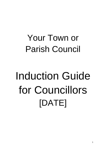## Your Town or Parish Council

# Induction Guide for Councillors [DATE]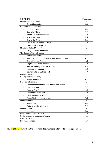| <b>CONTENTS</b>                                                        | Paragraph      |
|------------------------------------------------------------------------|----------------|
| Introduction to the Council                                            | 1              |
| <b>Contact Information</b>                                             | 1.1            |
| Roles and Responsibilities                                             | $\overline{2}$ |
| <b>Councillors' Duties</b><br>$\qquad \qquad \blacksquare$             | 2.1            |
| Councillors' Role<br>$\overline{\phantom{0}}$                          | 2.2            |
| What a Councillor cannot do<br>$\overline{\phantom{a}}$                | 2.3            |
| Role of the Clerk<br>$\overline{\phantom{0}}$                          | 2.4            |
| Role of the Chairman<br>$\blacksquare$                                 | 2.5            |
| Role of the Council as a Whole                                         | 2.6            |
| The Council as Employer<br>$\overline{\phantom{0}}$                    | 2.7            |
| Members' Code of Conduct                                               |                |
| Things a Councillor should not do                                      | 3.1            |
| The Decision Making Process                                            | $\overline{4}$ |
| <b>Powers and Duties</b>                                               | 4.1            |
| Meetings, Conduct of Business and Standing Orders<br>$\qquad \qquad -$ | 4.2            |
| <b>Council Meeting Agendas</b><br>$\overline{\phantom{a}}$             | 4.3            |
| Helpful suggestions for meetings<br>$\overline{\phantom{0}}$           | 4.4            |
| After the meeting - Council Minutes                                    | 4.5            |
| <b>Important Documents</b><br>$\overline{\phantom{a}}$                 | 4.6            |
| <b>Council Policies and Protocols</b>                                  | 4.7            |
| <b>Planning Matters</b>                                                | 5              |
| Dealing with Public Money                                              | 6              |
| <b>Budget and Precept</b>                                              | 6.1            |
| Handling Information<br>$\overline{7}$                                 |                |
| 7.1<br>Freedom of Information and Publication Scheme                   |                |
| 7.2<br>Data protection                                                 |                |
| 'Need to Know'                                                         | 7.3            |
| Confidential information<br>$\overline{\phantom{a}}$                   | 7.4            |
| Defamation and Privilege<br>$\overline{a}$                             | 7.5            |
| Press, Media and Local Newsletter                                      | 7.6            |
| <b>Members Services</b>                                                | 8              |
| Allowances                                                             | 8.1            |
| Training and Development                                               | 8.2            |
| Managing Risk                                                          | 9              |
| 9.1<br>Insurance                                                       |                |
| <b>Local Council Awards Scheme</b>                                     | 10             |
| Useful contacts and sources of advice                                  | 11             |
| <b>Useful Publications</b>                                             | 12             |
| List of Appendices                                                     | 13             |

**NB. Highlighted words in the following document are referred to in the appendices**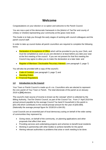### **Welcome**

Congratulations on your election or co-option and welcome to the Parish Council.

You are now a part of the democratic framework in the [district of *TwoTier* and county of *Unitary or Onetier*] representing your community at the grass roots level.

This Guide is to help you through the early stages of working with council colleagues and the parish council staff.

In order to take up council duties all parish councillors are required to complete the following forms:

- Declaration of Acceptance of Office which will be provided to you by your Clerk, and must be completed as soon as you are elected or at least before you take your seat at the first meeting of the council. If you are not present for that first meeting the Council may agree to allow you to make the declaration at a later date: and
- Register of Members' Disclosable Pecuniary Interests (see paragraph 3, page 7)

You will also be provided with a copy of the council's

- Code of Conduct (see paragraph 3, page 7) and
- Standing Orders
- **•** Financial Regulations

#### **1.0 Introduction to the Council**

Your Town or Parish Council is made up of x no. Councillors who are elected to represent the civic parish of Your Town or Parish. The total electorate of the parish as at January 2019 is **[XX]** electors.

The council's main source of income is known as the 'precept' which is collected by the Billing Authority, *TwoTier* District Council, as part of the Council Tax. From 1st April 2019 the annual amount payable by the average Council Tax band D household in this parish is [*£61.04*] which contributes to the overall precept amount for the year of [*£60,680*]. (Nationally the average precept figure for 2018/19 is £64.05).

Local Councils are an essential part of local democracy acting on behalf of the wide variety of communities they represent by:

- Giving views, on behalf of the community, on planning applications and other proposals that affect their area
- Providing services and undertaking projects and schemes to benefit local residents
- Working in partnership with other bodies to achieve benefits for the parish
- Alerting relevant authorities to problems that arise or work needing to be done.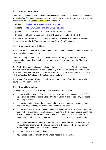#### **1.1 Contact Information**

Councillors should be aware of the various ways to contact the clerk, what access they have to the clerk's office and that they can accordingly signpost the public. See also the attached sheet listing notable **Contact Information** at appendix A.

| e-mail:  | [clerk@Your Town or Parish-pc.gov.uk]               |
|----------|-----------------------------------------------------|
| website: | [http://www.Your Town or Parish-pc.gov.uk]          |
| phone:   | [0123 456 7890 (landline) or 07490 906282 (mobile)] |

by post: [80 Oxbow Lane, Your Town or Parish, Onetiershire ON14 8NF]

The Clerk is paid to work for [XX] hours per week and is available in the office between [10am – 2pm Monday to Thursday and between 2pm – 4pm Thursdays].

#### **2.0 Roles and Responsibilities**

It is helpful for all councillors to understand their roles and responsibilities (set out below) to avoid any misunderstandings at a later date.

Councillors bring different skills, have different attitudes and give different reasons for wanting to be a councillor, but all need to work as an effective team with the Chairman as team leader.

The Clerk will provide advice and implement the council's decisions. The Clerk, whose statutory title is 'proper officer', is answerable only to the Council acting as one body, the employer. The Clerk may also hold the statutory position of Responsible Financial Officer (RFO or 'Section 151 Officer'). See also para 2.4 below.

The advice of the Clerk / RFO / s151 Officer is important and he/she should always be a councillor's first point of contact.

#### **2.1 Councillors' duties**

As a councillor you have the following duties which are set out in law:

- You must, within 28 days of taking office, sign a Declaration of Acceptance of Office, agree to abide by the council's adopted Code of Conduct, and register any Disclosable Pecuniary Interests.
- You must attend meetings when summoned to do so and have sole responsibility for disclosing any pecuniary interests before an item is discussed.
- You must inform the clerk of an intended absence in order that it can be recorded and approved. If a member does not attend any meeting of the Council, Council Committee or Sub-committee, or does not carry out an executive function as a member, for six consecutive months he/she automatically ceases to be a member of the authority.

If a member has special reasons for not being able to attend meetings there may be circumstances under which the council can extend the period. The Council can only extend the period before the six months have elapsed.

- You are entitled to vote at meetings
- You can resign at any time by giving written notice to the Chairman.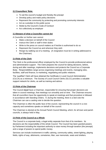#### **2.2 Councillors' Role:**

- To set the council's budget and thereby the precept
- Develop policy and make policy decisions
- Represent the community by protecting and promoting community interests
- Act as custodian to the public purse
- Abide by the Council's Code of Conduct
- Act collectively as employer

#### **2.3 Beware of what a Councillor cannot do!**

A Councillor on his/her own cannot:

- Make a decision on behalf of the Council
- Instruct the Clerk or staff in their duties
- Write to the press on council matters as if he/she is authorised to do so
- Represent the Council as and wherever they wish
- Resign by walking out of a meeting. (A resignation must be in writing addressed to the Chairman).

#### **2.4 Role of the Clerk**

The Clerk is the professional officer employed by the Council to provide professional advice and administrative support. The Clerk prepares the council for taking decisions, before, during and after meetings, implements decisions and protects the Council as a Corporate Body. Responsibilities range across organising meetings and events, managing sites, facilities, staff and finance, to marketing, negotiating and public relations.

The 'qualified' Clerk will have obtained the Certificate in Local Council Administration (CiLCA) as a minimum. The Society of Local Council Clerks (SLCC) provides a valuable support network for clerks, as well as training and advice.

#### **2.5 Role of the Chairman**

The Council *must* have a Chairman, responsible for ensuring that proper decisions are taken in council meetings, that meetings run smoothly and on time. The Chairman ensures that all councillors have the opportunity to speak at meetings and that procedure is followed in accordance with Standing Orders. If, during the meeting, there is a tied vote the Chairman can use a casting vote to decide the question.

The Chairman is often the public face of the council, representing the council in a civic capacity and sometimes speaks on behalf of the council.

The Chairman is elected at the Annual Parish Council Meeting, which, for all town and parish councils, is always held in May.

#### **2.6 Role of the Council as a Whole**

The Council is a corporate body, a legal entity separate from that of its members. Its decisions are the responsibility of the whole Council. The Council has been granted powers by Parliament including the important authority to raise money through taxation (the precept) and a range of powers to spend public money.

Services can include involvement in traffic calming, community safety, street lighting, playing fields, rights of way, allotments, cemeteries, litter, war memorials, seats and shelters.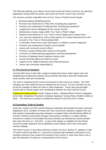The Planning Authority (your district council) will consult the Parish Council on any planning applications arising within the parish, upon which the Parish Council may comment.

The services currently undertaken here at [Your Town or Parish] Council include:

- *[Footway lighting (58 lighting points)*
- *Provision and maintenance of Play Park, including play equipment*
- *Provision and maintenance of Playing Field, including play equipment*
- *Lengthsman scheme (delegated by the County Council)*
- *Maintenance of grass verges within Your Town or Parish 'village'*
- *Planters at the entrances to Your Town or Parish village and in Oxbow Road*
- *Use, care and maintenance of four notice boards (3 in Oxbow Road and one in the car park to Your Town or Parish playing field)*
- *A newsletter issued twice a year (and space in 2 editions of parish magazine)*
- *Provision and maintenance of parish council website*
- *Liaison with community service officers*
- *Provision of grant funding where relevant to the parish*
- *Comment on notified planning applications and local development*
- *Provision of highways bench seating at various sites*
- *Annual Christmas lights and Switch-on event*
- *Support for the village businesses and community groups*
- *Liaison with community stakeholders ]*

#### **2.7 The Council as Employer**

Councils often have to deal with a range of employment issues which require clear and straightforward employment policies and procedures that help to deal with employment issues quickly, fairly and consistently.

The Clerk is employed by the Council and answers to the Council as a whole. The Clerk manages any other staff that may be employed by the Council. No one Councillor can act as the line manager of either the Clerk or other employees. These rules and principles should build on mutual respect and consideration between the Clerk and the Council.

Employment-related policies include: Dignity at Work - Member/Officer Protocol; Delegation to the Clerk; Disciplinary Procedure; Employee Appraisal; Training Policy; Health & Safety at Work. The Clerk has a contract of employment based on the NALC/SLCC model.

#### **3.0 Councillors' Code of Conduct**

Under the Localism Act 2011 and the Relevant Authorities (Disclosable Pecuniary Interests) Regulations 2012, members of Parish and Town councils are required to register their and their partner's disclosable pecuniary interests in a register held by the Monitoring Officer at [*TwoTier*] District Council within 28 days of becoming a member or co-opted member. Provisions in relation to Disclosable Pecuniary Interests are enforced by criminal sanction that came into force on 1 July 2012. A copy of the register is available from the District Council for public inspection and is published on their website, with a link to the parish council's website.

The Parish Council, in accordance with the Localism Act 2011, Section 27, adopted a Code of Conduct which took effect on 1 July 2012 to promote high standards of behaviour by its members whenever they conduct the business of the Council, or when they claim to act or give the impression of acting as a representative of the Council.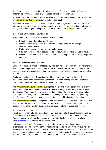The Code is based on the Nolan Principles of Public Office which include selflessness, integrity, objectivity, accountability, openness, honesty and leadership.

A copy of the Code of Conduct with a Register of Disclosable Pecuniary Interests Form and an **Application for Dispensation** is attached at Appendix B.

Members are asked to familiarise themselves with their obligations under the Code, what interests to declare and how to declare them, how to apply for a dispensation, and what to do if you are offered gifts or hospitality; see the information on *Interests*, appendix B5.

#### **3.1 Things a Councillor should not do**

It is important for councillors to be aware that they must not:

- Bring their council or office into disrepute
- Misuse their official position to their own advantage or to the advantage or disadvantage of others
- Unduly influence any person who works for the council
- Stop somebody seeing or getting copies of documents they are allowed to have;
- Misuse council resources or authorise their misuse, in particular for any party political purposes.

#### 4**.0 The Decision Making Process**

Council meetings are where councillors play their part as decision makers. They are formal events where the public and press have a right to observe how the Council operates, the exception being when sensitive matters are discussed such as legal, contractual or staffing matters.

Decisions are often called 'Resolutions' and these are mostly made by the full Council, please remember these are corporate decisions. Decision-making can be delegated to Committees where they exist and sometimes to the Clerk.

The Annual Parish Council Meeting takes place in May and in an election year (ie every 4 years) the council must meet on or within 14 days following the fourth day after the day of the election. There must, by law, be at least 3 other Council meetings in the year and at **[**Your Town or Parish**]** there is one full council meeting held every month except in August and December. The meeting schedule is set at the Annual Parish Council meeting.

The Annual Parish Meeting takes place on any date between 1 March and 1 June inc. This is not a council meeting, but it is hosted by the Parish Council as required by law; it is an opportunity for parish electors to speak and set the agenda to consider local issues.

#### 4.1 Powers and Duties

Parish Councils can take part in, and pay for, a wide range of activities that are allowed for by various Acts of Parliament. There is a useful reference list in '*The Good Councillors*' *Guide*' a copy of which may be provided with this Introduction folder and is available online via: [www.nalc.gov.uk](http://www.nalc.gov.uk/) and the county association.

Unless General Power of Competence (see below) applies, councils wishing to incur expenditure on doing something that is not legally specified via any of the various Acts of Parliament, have a 'Section 137' power (*Local Government Act 1972, s137*). This allows the council to spend up to a certain amount on a service that benefits the community as a whole. The total amount for one year is calculated as £x per elector; for 2021/22 £x is £8.41.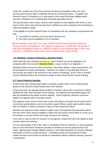Under the Localism Act 2011 local councils are being encouraged to take over more services and have the right to challenge and bid for community assets. In addition, the General Power of Competence is a new power of first resort that allows eligible parish councils in England to do "anything that individuals generally may do".

The general power aims to give councils more freedom to work together with others in new ways to drive down costs and increase their confidence to work creatively and innovatively to meet local people's needs.

To be eligible to use the General Power of Competence the two mandatory requirements are that:

- 1) Two-thirds of members must have been elected; and
- 2) the Clerk must be qualified to CiLCA standard.

**[**At its meeting in June 2014 Your Town or Parish Parish Council agreed to adopt the General Power of Competence. The decision to adopt was re-visited after the election in May 2015 and agreed (minute no. 15/05/07(v) refers); it was reviewed again in May 2019 (minute no. 19/05/07(iii) refers) and is due for further review in May 2023.**]**

#### **4.2 Meetings, Conduct of Business, Standing Orders**

Rules about the way meetings must be run, some of which are set by legislation, are contained within the Council's Standing Orders, a copy of which is at Appendix C.

Standing Orders set out the order of business, rules about debate, voting requirements, and the procedures for public participation. Members are asked to read Standing Orders to ensure they are aware of the protocol on the conduct of meetings. **[**Your Town or Parish**]** Council Standing Orders are reviewed annually at each Annual Parish Council meeting.

#### **4.3 Council Meeting Agendas**

At least three clear working days before a meeting a public notice of the meeting will be placed on the Council's notice boards and on the website.

At the same time, the agenda will be emailed to members along with a summons to attend detailing the date, time and place of the meeting. The agenda and associated papers will also be uploaded to the parish council's website. Topics requiring a decision cannot be added to an agenda after it has been issued.

**[**The agenda is also sent by email to the county and district councillors for the parish and to community representatives such as the police support officers, parish paths warden along with an invitation to attend to present a report on their respective roles.**]**

Members are advised to either request a paper copy of the agenda and associated reports from the Clerk, which will be available to collect from the parish council office or to pick up at the meeting, or to print off their own copy to bring to the meeting.

If you wish to raise an item for inclusion on the agenda, contact the Clerk with details at least 2 weeks before the meeting.

It is the responsibility of the Clerk, often in consultation with the Chairman, to set the agenda and as much information should be provided to members to ensure good decisions are made. Agenda items headed 'Matters Arising' or 'Any Other Business' do not give sufficient information on which to make decisions. Councillors should not be expected to make sudden decisions and should not decide on expenditure without sufficient warning, research or preparation.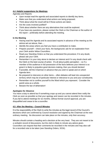#### **4.4 Helpful suggestions for Meetings**

Agendas and Reports

- Upon receipt read the agenda and associated reports to identify key items.
- Make sure that you understand what actions are being proposed.
- Think about what the result will be if those actions are taken.
- Are the costs involved iustified?
- Think about whether there are any alternatives that could be explored.
- If you have any questions, please contact the Clerk or the Chairman or the author of the report – preferably before attending the meeting.

#### **In the Meeting**

- Having read the Agenda and its associated reports in advance of the meeting as the advice set out above, then….
- Identify the areas where you feel you have a contribution to make.
- Prepare yourself check your facts, the background; ask for an explanation from your Clerk and/or fellow Councillors.
- Read your Standing Orders so that you understand the procedure; if in any doubt, please ask your Clerk.
- Remember it is your duty alone to declare an interest and if in any doubt check with the Clerk on the best course of action. It's all about public perception – so if a member of the audience in full possession of the facts believes your interest is so great it is likely to prejudice good decision-making, then you should declare!
- If possible, tell the Chairman in advance that you wish to speak and on which Agenda item.
- Be prepared to intervene on other items often debates will lead into unexpected territory which may be of particular interest or relevance to you and your constituents.
- Remember not to confine yourself to the Ward which you represent. Consider the parish area as a whole.
- Beware the law of defamation!

#### **Apologies for Absence**

You have a duty to attend but if something crops up and you cannot attend then notify the Clerk as soon as possible so that your apology and reason can be recorded in the minutes. If you fail to attend meetings for six months, without formal council approval, you are disqualified and cease to be a councillor.

#### **4.5 After the Meeting – Council Minutes**

It is the responsibility of the Clerk to write the minutes as the legal record of the Council's decisions which are confirmed by Council resolution and signed by the Chairman at the next ordinary meeting. No discussion can take place on the minutes, only their accuracy.

Minutes should contain a heading and a decision at the very least. They are not meant to be a verbatim record of discussions, but the clerk is likely to minute any advice given. Councillors can request that their comments be recorded in the minutes and may also call for a recorded vote to be taken (see Standing Orders, SO3r).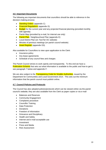#### **4.6 Important Documents**

The following are important documents that councillors should be able to reference in the decision-making process:

- Standing Orders (appendix C)
- Financial Regulations (appendix D)
- Budget for the current year and any projected financial planning (provided monthly with agenda)
- Parish Map (provided by e-mail, for internal use only)
- Parish Plan / Neighbourhood Plan (appendix E)
- Local District Plan (on *TwoTier* DC website)
- Minutes of previous meetings (on parish council website)
- Asset Register (appendix D3).

Also available for Councillors to view upon application to the Clerk:

- Insurance policy
- Any lease agreements
- Schedule of any council fees and charges

The Parish Council strives to work openly and transparently. To this end we have a Publication Scheme that sets out what information is available to the public and how to get it, see paragraph 7 below and appendix F.

We are also subject to the Transparency Code for Smaller Authorities, issued by the Department for Communities and Local Government 2014. This sets out the minimum information that the parish council must publish online.

#### **4.7 Council Policies and Protocols**

The Council has also adopted policies/protocols which can be viewed online via the parish council's website; they are also available from the Clerk as paper copies or via e-mail

- Balances and Reserves
- Community Engagement
- Complaints procedure
- Councillor Training
- Data Protection
- Donations
- Freedom of Information
- Grievance and Disciplinary
- Health and Safety
- Internet and e-mail acceptable use
- Investment
- Press and Media
- Risk Assessment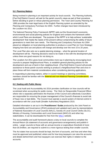#### **5.0 Planning Matters**

Being involved in planning is an important activity for local councils. The Planning Authority, **[***TwoTier]* District Council, will ask for the parish council's views as part of their procedure before deciding to grant or refuse planning permission. The Town and Country Planning Act 1990 provides the main legal basis of the English Planning system as amended by the Planning and Compulsory Purchase Act 2004. Further changes have been introduced by the Localism Act 2011.

The National Planning Policy Framework (NPPF) sets out the Government's economic, environmental and social planning policies for England and contains the framework within which Local Plans are developed. The purpose of the NPPF is to help achieve 'sustainable development' that meets the needs of the present without compromising the ability of future generations to meet their own needs. The Planning and Compulsory Purchase Act 2004 placed an obligation on local planning authorities to produce a Local Plan (or Core Strategy) shaping how land use and places will change and develop over the next 15 to 20 years.

The Local Plan also sets out a spatial planning strategy – what the general location of development will be. Planning decisions need to be made in line with the development plan unless there are good reasons for not doing so.

The Localism Act 2011 gives local communities more say in planning by encouraging local councils to prepare Neighbourhood Plans, to establish general planning policies for the development and use of land in their neighbourhood. **[***TwoTier]* District Council will provide assistance to those parish councils wishing to produce a Neighbourhood Plan and once in place these will form material considerations when considering planning applications.

In responding to planning matters, either in council meetings or planning committees, members should be familiar with the **Material and non-Material Planning Considerations**, see appendix E2.

#### **6.0 Dealing with Public Money**

The Local Audit and Accountability Act 2014 provides clarification on how councils will be scrutinised when accounting for public money. The Clerk (or Responsible Financial Officer where role is separate) administers the finances of the Council and collectively Councillors are responsible for ensuring the proper management of the Council's finances to avoid risk of fraud, loss or bad debts. The Council must operate a sound system of internal control in accordance with the Local Audit (Smaller Authorities) Regulations 2015.

Detailed information is set out in the **Practitioners' Guide** produced by the Joint Panel on Accountability and Governance (JPAG) produced and updated each year by representatives of National Association of Local Councils (NALC), Society of Local Council Clerks (SLCC), Ministry of Housing, Communities and Local Government (MHCLG) and other key stakeholders. It can be downloaded for free from the **NALC** website.

The accountability and audit framework places a duty on local councils to complete the Annual Return (its statement of accounts and governance arrangements) and publish it online. Larger councils ie those with an annual income or expenditure threshold of more than £6.5million, are required to submit to a more rigorous testing than smaller councils.

The Act states how accounts should be kept, the form of accounts, and how and when they must be approved and published; where and for how long taxpayers can view the accounts and details behind them and how taxpayers can exercise their rights in relation to the accounts.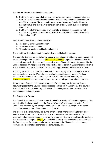#### The **Annual Return** is produced in three parts:

- 1. Part 1 is for parish councils that have had no financial transactions during the year
- 2. Part 2 is for parish councils where neither receipts nor payments have exceeded £25,000 in the year. These councils are known as 'Category 2 Authorities with Exempt Status' and may claim exemption from external audit, subject to certain conditions.
- 3. Part 3 is for all other parish and town councils. In addition, those councils with receipts or payments of more than £200,000 are subject to the external auditor's 'intermediate audit'.

Parts 2 and 3 have three numbered sections: j

- 1. The annual governance statement
- 2. The statement of accounts
- 3. The external auditor's certificate and opinion

The report from the independent internal auditor should also be included.

The council's finances are controlled by checking spending against budget plans regularly at council meetings. The council's own Financial Regulations (appendix D1) set out how the council will manage its finances and its overall system of internal control. As part of this, the Council appoints an independent and competent auditor to conduct an internal audit which is in turn reported with the accounts to the council for approval and to the external auditor.

Following the abolition of the Audit Commission, responsibility for appointing the external auditor was taken over by SAAA (Smaller Authorities' Audit Appointments). For local councils with an annual turnover of less than £25,000 (the 'exempt' councils) the **Transparency Code** sets out the procedure for public scrutiny of financial management.

As a member of the Council you are responsible for ensuring that the Annual Return accurately presents the Council's position regarding financial management. The council's financial position is presented regularly at council meetings when members can check spending against budget plans.

#### **6.1 Budget and Precept**

The Council is empowered to incur expenditure in the execution of its statutory powers. The majority of its funds are obtained in the form of a 'precept'; an amount set by the Parish Council and collected by the billing authority (**[***TwoTier]* District Council) from the parish council taxpayers as part of the annual council tax bill.

The precept is the amount required by the parish council, after accounting for any other income, to cover the costs it expects to incur in the financial year ahead and so it is important that an accurate budget is set for the proper carrying out of the Council's functions. The process for setting the **budget** (appendix D2) normally starts in October each year and the formal request for the precept is sent by the Clerk to the District Council in January, following whole council agreement on the amount required.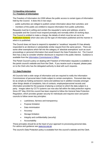#### **7.0 Handling Information 7.1 Freedom of Information**

The Freedom of Information Act 2000 allows the public access to certain types of information held by the Council. It does this in two ways:

- **-** public authorities are obliged to publish certain information about their activities; and
- **-** members of the public are entitled to request information from public authorities.

Requests must be in writing and contain the requester's name and address; email is acceptable and the Council must respond promptly and normally within 20 working days. The Council is entitled to make a charge, the details of which must be set out in its Publication Scheme which also sets out the type of information published and the manner in which it is published.

The Council does not have to respond to repeated or 'vexatious' requests if it has already responded to an identical or substantially similar request from the same person. There are some other exemptions which fall into the category of 'absolute exemptions' such as court proceedings or personal information that would breach the Data Protection Act. The Council then has a duty to consider whether disclosure is required in the public interest. Guidance is available from the [Information Commissioner's Office.](https://ico.org.uk/your-data-matters/your-right-to-get-copies-of-your-data/)

The Parish Council's policy on dealing with Freedom of Information requests is available on the parish council's website and from the Clerk. If you receive such a request, please pass on to the Clerk who has the delegated authority to deal with such requests.

#### **7.2 Data Protection**

All Councils hold a wide range of information and are required to notify the Information Commissioner of personal data it holds subject to certain exemptions. Personal data may be as simple as holding someone's name and address but in addition includes amongst other things details of complaints, lists of contacts, employee/personnel records and information provided for the purpose of placing a contract to which the data subject is a party. Images taken by CCTV systems can now also fall within the data protection regime. Since 25<sup>th</sup> May 2018 the council has been required to follow the General Data Protection Regulation, which provides greater security for individuals and requires town and parish councils to follow seven key principles:

- Lawfulness, fairness and transparency
- Purpose limitation
- Data minimisation
- Accuracy
- Storage limitation
- Integrity and confidentiality (security)
- Accountability

These principles should lie at the heart of your approach to processing personal data. For advice and guidance see [www.ico.org.uk](http://www.ico.org.uk/)

The council's Data Protection policy is available from the council's website and the Clerk.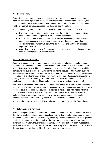#### **7.3 'Need to know'**

Councillors do not have an automatic 'need to know' for all council business and cannot claim an automatic right to see all council documentation and information. However, the council adheres to the requirement to be open and transparent thus if any information is withheld there will be a specific reason for doing so, see 7.4 below.

This is the NALC guidance for establishing whether a councillor has a 'need to know':

- If you are a member of a committee, you have the right to inspect documents or to obtain information relating to the business of that committee;
- If not a committee member you need to demonstrate why sight of the information in question is necessary to enable you to perform your duties as a councillor;
- The document/information will be withheld if a councillor's motives are indirect, improper, or ulterior;
- Councillors may not go on a fishing expedition in respect of council documents but should specify precisely what they require.

#### **7.4 Confidential Information**

Councils are expected to be open about all their decisions and actions; you have been entrusted with public funds and the council should be transparent in how those funds are spent. However, there will be occasions when disclosure of certain information would be contrary to the public good. It is lawful for the council to discuss certain matters such as those relating to members of staff and to legal disputes in confidential session, ie following a resolution to exclude members of the public from the meeting. Discussions relating to the placing of contracts are no longer required to be held in confidence unless there is risk of disclosing sensitive contractual information, eg hourly pay rate of contractors' staff.

The Council's Standing Orders and the Code of Conduct require Members and officers to maintain confidentiality. When a councillor is acting, or gives the impression as acting, as a representative of the council, a councillor is obliged to not disclose information which is confidential or where disclosure is prohibited by law. There are some exceptions, for instance if you are required to do so by law, where you have a person's consent or disclosure is in the public interest (justified in only very limited circumstances).

Improper disclosure of confidential information constitutes a breach of the Code of Conduct.

#### **7.5 Defamation and Privilege**

When making statements in council and committee meetings Councillors should be aware that they are subject to the general principles of law relating to defamation. As a general defence a councillor should show that any such alleged statement was made on a 'qualified' privileged occasion, when the councillor who makes the statement must show that the statement was made without malice and in pursuit of a public duty. If, upon investigation, the statement is found to be true then it is not defamatory at all, but if it is found to be untrue then privilege can be claimed if the Councillor acted without malice.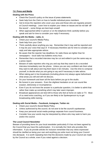#### **7.6 Press and Media**

#### **Dealing with the Press**

- Check the Council's policy on the issue of press statements.
- Seek help from the Clerk on how to handle individual press members
- Get to know the reporters who cover your area and those who are regularly present at Council meetings. Learn how to explain your views on issues and do not talk 'off the record' – some things are best kept unsaid!
- When approached either in person or on the telephone think carefully before you speak and ask for time to consider your reply if necessary.

#### **Dealing with the Media – radio, tv**

- Check your council's Media Policy.
- Seek help from your Clerk
- Think carefully about anything you say. Remember that it may well be reported and it may be your voice that says it! If necessary therefore ask for time to consider your reply and take appropriate advice.
- Be aware that the reporter has deadlines; for radio these are tighter than for newspapers – local radio has bulletins every hour.
- Remember that a recorded interview may be cut and edited in just the same way as a press report.
- Beware of radio reporters who ring you and say that they want to do a recorded interview immediately over the phone. Unless you are very confident ask them what they want to talk about and ring them back in ten minutes. Use this time to compose yourself, to decide what you are going to say and if necessary to take advice.
- When taking part in live broadcasts (including phone-ins) always agree beforehand what areas you will and will not discuss.
- Do your homework and learn all the facts before you go to the studio.
- Be honest in your answers. Even the slightest hesitation on air can sound like evasion, dishonesty or incompetence.
- Even if you do not know the answer to a particular question, it is better to admit that rather than make up something which may later seem improper.
- Broadcast appearances are best left to those who feel at home on radio or TV. Most of us need extra coaching, so if you are likely to be Spokesperson try to get broadcasting skills training.

#### **Dealing with Social Media – Facebook, Instagram, Twitter etc**

- Check your council's Social Media Policy.
- Unless authorized by the council, do not aver to be the council's spokesman.
- Keep your personal social media postings separate from council business.
- Consider how your words may be interpreted by others who may seek to harm you and/or the council.

#### **The Local Council Newsletter**

Beware of providing items for your local newsletter particularly if it has not been agreed by the Council that you have this authorisation. It is normally the Clerk who provides this information. If you do provide articles for inclusion remember that any views expressed should be clarified as being your own and anything you write must not bring your Council into disrepute. It is worth repeating here that the decisions made by your Council are made by the Council as a whole, even if you voted against a decision.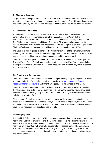#### **8.0 Members' Services**

Larger Councils may provide a support service for Members who require this such as access to photocopiers, printer, vending machines and meeting rooms. This will depend upon what has been agreed by the Council and services of this nature should not be taken for granted.

#### **8.1 Members' Allowances**

A local council may pay a basic allowance to its elected Members having taken into consideration any recommendations from the principal council's Parish/District Remuneration Panel and must publish at the end of the financial year any amounts paid. The Chairman may receive an additional Chairman's Allowance. Allowances may be taxable under the PAYE system and so records should be kept; however, with regard to the Chairman's allowance, many councils will apply for a dispensation from HMRC.

The Council is also required to consider the recommendations of the Remuneration Panel regarding the payment of travel expenses for approved duties and **[**in the case of this parish council this is limited to approved attendance outside of the parish area.**]**

Councillors have the option of whether or not they wish to take such allowances. **[**At Your Town or Parish Parish Council members have opted to note the Panel's recommendations but to pay the 'historic' Chairman's Allowance if required and currently pay travel expenses at £0.45 per mile.**]**

#### **8.2 Training and Development**

Councillors will be informed of any available training or briefings they are expected or invited to attend. Induction Training for councillors is available via [Worcestershire County](https://www.worcscalc.org.uk/training/)  [Association for Local Councils](https://www.worcscalc.org.uk/training/) and other training providers as advised by the Clerk.

Councillors are encouraged to attend training and development when offered to develop their knowledge and skills in carrying out their role. Some training may incur a small cost whilst other events/briefings may be free. **[**The council's Training policy is available on the website and from the Clerk.**]**

Skills needed: Councillors require many skills to carry out the various aspects of their role effectively. Councillors are required to listen, question, consult, negotiate, deal with conflict and make objective assessments. Contact the clerk if there are personal skills you wish to develop, for instance public speaking, use of IT etc.

#### **9.0 Managing Risk**

The Health & Safety at Work Act 1974 places a duty on Councils as employers to protect the health and safety of its employees and the visiting public. This includes maintaining the safety of any places of work, the working environment (including equipment), without risks to health for which the Clerk will undertake appropriate risk assessments. The Equality Act 2010 imposes obligations on Councils as employers along with wider obligations to the public to ensure access to services, including permanent physical adjustments to premises and meeting rooms.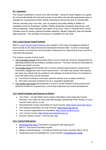#### **9.1 Insurance**

The Council undertakes a review of its risks annually. Using the Asset Register as a guide, the Council will identify the level and severity of any likely risk and take appropriate steps to manage the consequences which include reviewing its insurances prior to renewal date.

Policies normally cover core risks, such as property and public liability in addition to mandatory cover for Employers' Liability, Fidelity Guarantee (employee dishonesty), and Hirer's Indemnity. Other optional cover taken out by **[**Your Town or Parish**]** Parish Council includes cover for money, personal accident (assault), officials' indemnity, libel and slander, legal expenses. The schedule of insurance is available from the Clerk.

#### **10.0 Local Council Award Scheme**

NALC's [Local Council Award Scheme](https://www.nalc.gov.uk/our-work/improvement-and-development/local-council-award-scheme) was created in 2014 and is managed on behalf of local councils by the Improvement and Development Board (IDB). It exists to encourage local councils to do their best and it provides a framework for supporting all local councils to meet their full potential.

The scheme consists of three levels:

- The Foundation Award demonstrates that a council meets the minimum requirements for operating lawfully and according to standard practice. This level should be achievable by all town and parish councils.
- The Quality Award demonstrates that a council achieves good practice in governance, community engagement and council improvement. This level and Quality Gold requires the same two criteria that are needed for the adoption of General Power of Competence to be met before they can be achieved:
	- a) Two-thirds of members must have stood for election (not co-opted members)
	- b) The Clerk must have achieved CiLCA or equivalent qualification
- The Quality Gold Award demonstrates a council is at the forefront of best practice and achieves excellence in governance, community leadership and council development.

#### **11.0 Useful Contacts and Sources of Advice**

- Your Clerk it is the Clerk's job to receive information and to keep the Council informed. Your Clerk can also seek help through membership of the Society of Local Council Clerks (SLCC.co.uk)
- Worcestershire County Association of Local Councils: [https://www.worcscalc.org.uk](https://www.worcscalc.org.uk/)
- The National Association of Local Councils: [https://www.nalc.gov.uk](https://www.nalc.gov.uk/)
- Your county's organisation for volunteers: [https://www.comfirst.org.uk](https://www.comfirst.org.uk/)
- Your County Council: [https://www.worcestershire.gov.uk](https://www.worcestershire.gov.uk/)
- *[TwoTier* District Council (*TwoTier*.gov.uk)**]**

#### **12.0 Useful Publications**

- [Worcestershire CALC](https://www.worcscalc.org.uk/) Councillor's Companion (will need log-in)
- NALC's 'The Good Councillor's Guide'
- 'Being a Good Employer A Guide for Parish and Town Councils' NALC, SLCC
- Governance and Accountability for Local Councils: [A Practitioners' Guide](https://www.nalc.gov.uk/library/our-work/jpag/3223-practitioners-guide-2020/file)